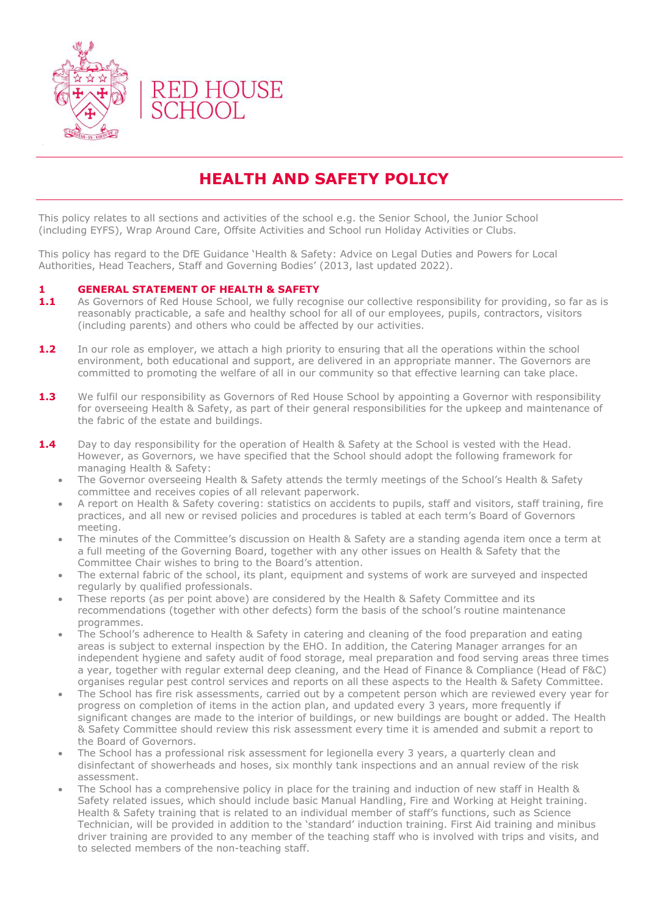

## **HEALTH AND SAFETY POLICY**

This policy relates to all sections and activities of the school e.g. the Senior School, the Junior School (including EYFS), Wrap Around Care, Offsite Activities and School run Holiday Activities or Clubs.

This policy has regard to the DfE Guidance 'Health & Safety: Advice on Legal Duties and Powers for Local Authorities, Head Teachers, Staff and Governing Bodies' (2013, last updated 2022).

#### **1 GENERAL STATEMENT OF HEALTH & SAFETY**

- **1.1** As Governors of Red House School, we fully recognise our collective responsibility for providing, so far as is reasonably practicable, a safe and healthy school for all of our employees, pupils, contractors, visitors (including parents) and others who could be affected by our activities.
- **1.2** In our role as employer, we attach a high priority to ensuring that all the operations within the school environment, both educational and support, are delivered in an appropriate manner. The Governors are committed to promoting the welfare of all in our community so that effective learning can take place.
- **1.3** We fulfil our responsibility as Governors of Red House School by appointing a Governor with responsibility for overseeing Health & Safety, as part of their general responsibilities for the upkeep and maintenance of the fabric of the estate and buildings.
- **1.4** Day to day responsibility for the operation of Health & Safety at the School is vested with the Head. However, as Governors, we have specified that the School should adopt the following framework for managing Health & Safety:
	- The Governor overseeing Health & Safety attends the termly meetings of the School's Health & Safety committee and receives copies of all relevant paperwork.
	- A report on Health & Safety covering: statistics on accidents to pupils, staff and visitors, staff training, fire practices, and all new or revised policies and procedures is tabled at each term's Board of Governors meeting.
	- The minutes of the Committee's discussion on Health & Safety are a standing agenda item once a term at a full meeting of the Governing Board, together with any other issues on Health & Safety that the Committee Chair wishes to bring to the Board's attention.
	- The external fabric of the school, its plant, equipment and systems of work are surveyed and inspected regularly by qualified professionals.
	- These reports (as per point above) are considered by the Health & Safety Committee and its recommendations (together with other defects) form the basis of the school's routine maintenance programmes.
	- The School's adherence to Health & Safety in catering and cleaning of the food preparation and eating areas is subject to external inspection by the EHO. In addition, the Catering Manager arranges for an independent hygiene and safety audit of food storage, meal preparation and food serving areas three times a year, together with regular external deep cleaning, and the Head of Finance & Compliance (Head of F&C) organises regular pest control services and reports on all these aspects to the Health & Safety Committee.
	- The School has fire risk assessments, carried out by a competent person which are reviewed every year for progress on completion of items in the action plan, and updated every 3 years, more frequently if significant changes are made to the interior of buildings, or new buildings are bought or added. The Health & Safety Committee should review this risk assessment every time it is amended and submit a report to the Board of Governors.
	- The School has a professional risk assessment for legionella every 3 years, a quarterly clean and disinfectant of showerheads and hoses, six monthly tank inspections and an annual review of the risk assessment.
	- The School has a comprehensive policy in place for the training and induction of new staff in Health & Safety related issues, which should include basic Manual Handling, Fire and Working at Height training. Health & Safety training that is related to an individual member of staff's functions, such as Science Technician, will be provided in addition to the 'standard' induction training. First Aid training and minibus driver training are provided to any member of the teaching staff who is involved with trips and visits, and to selected members of the non-teaching staff.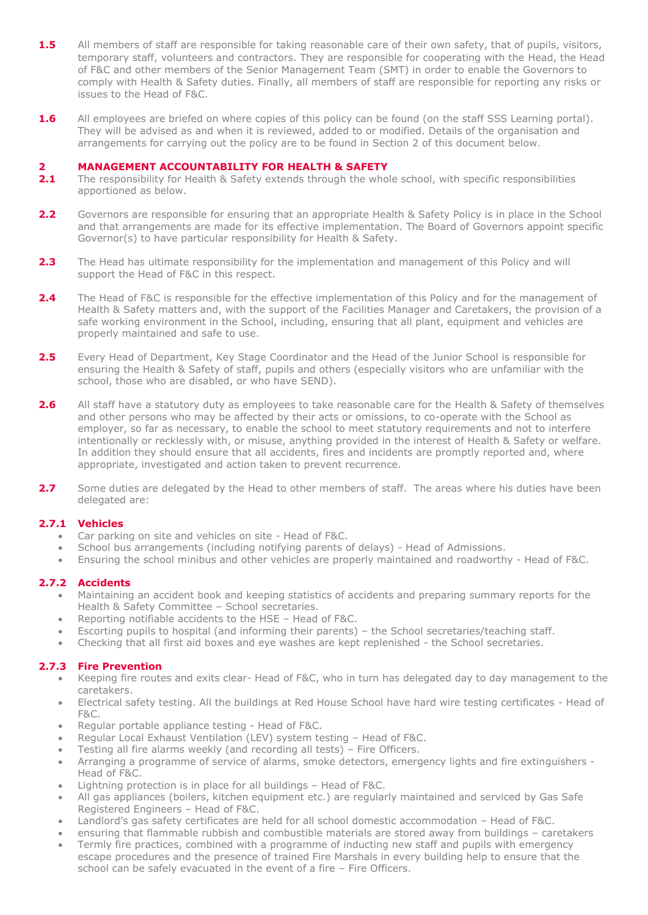- **1.5** All members of staff are responsible for taking reasonable care of their own safety, that of pupils, visitors, temporary staff, volunteers and contractors. They are responsible for cooperating with the Head, the Head of F&C and other members of the Senior Management Team (SMT) in order to enable the Governors to comply with Health & Safety duties. Finally, all members of staff are responsible for reporting any risks or issues to the Head of F&C.
- **1.6** All employees are briefed on where copies of this policy can be found (on the staff SSS Learning portal). They will be advised as and when it is reviewed, added to or modified. Details of the organisation and arrangements for carrying out the policy are to be found in Section 2 of this document below.

# **2 MANAGEMENT ACCOUNTABILITY FOR HEALTH & SAFETY**<br>**2.1** The responsibility for Health & Safety extends through the who

- **2.1** The responsibility for Health & Safety extends through the whole school, with specific responsibilities apportioned as below.
- **2.2** Governors are responsible for ensuring that an appropriate Health & Safety Policy is in place in the School and that arrangements are made for its effective implementation. The Board of Governors appoint specific Governor(s) to have particular responsibility for Health & Safety.
- **2.3** The Head has ultimate responsibility for the implementation and management of this Policy and will support the Head of F&C in this respect.
- **2.4** The Head of F&C is responsible for the effective implementation of this Policy and for the management of Health & Safety matters and, with the support of the Facilities Manager and Caretakers, the provision of a safe working environment in the School, including, ensuring that all plant, equipment and vehicles are properly maintained and safe to use.
- 2.5 Every Head of Department, Key Stage Coordinator and the Head of the Junior School is responsible for ensuring the Health & Safety of staff, pupils and others (especially visitors who are unfamiliar with the school, those who are disabled, or who have SEND).
- **2.6** All staff have a statutory duty as employees to take reasonable care for the Health & Safety of themselyes and other persons who may be affected by their acts or omissions, to co-operate with the School as employer, so far as necessary, to enable the school to meet statutory requirements and not to interfere intentionally or recklessly with, or misuse, anything provided in the interest of Health & Safety or welfare. In addition they should ensure that all accidents, fires and incidents are promptly reported and, where appropriate, investigated and action taken to prevent recurrence.
- **2.7** Some duties are delegated by the Head to other members of staff. The areas where his duties have been delegated are:

#### **2.7.1 Vehicles**

- Car parking on site and vehicles on site Head of F&C.
- School bus arrangements (including notifying parents of delays) Head of Admissions.
- Ensuring the school minibus and other vehicles are properly maintained and roadworthy Head of F&C.

#### **2.7.2 Accidents**

- Maintaining an accident book and keeping statistics of accidents and preparing summary reports for the Health & Safety Committee – School secretaries.
- Reporting notifiable accidents to the HSE Head of F&C.
- Escorting pupils to hospital (and informing their parents) the School secretaries/teaching staff.
- Checking that all first aid boxes and eye washes are kept replenished the School secretaries.

#### **2.7.3 Fire Prevention**

- Keeping fire routes and exits clear- Head of F&C, who in turn has delegated day to day management to the caretakers.
- Electrical safety testing. All the buildings at Red House School have hard wire testing certificates Head of F&C.
- Regular portable appliance testing Head of F&C.
- Regular Local Exhaust Ventilation (LEV) system testing Head of F&C.
- Testing all fire alarms weekly (and recording all tests) Fire Officers.
- Arranging a programme of service of alarms, smoke detectors, emergency lights and fire extinguishers Head of F&C.
- Lightning protection is in place for all buildings Head of F&C.
- All gas appliances (boilers, kitchen equipment etc.) are regularly maintained and serviced by Gas Safe Registered Engineers – Head of F&C.
- Landlord's gas safety certificates are held for all school domestic accommodation Head of F&C.
- ensuring that flammable rubbish and combustible materials are stored away from buildings caretakers
- Termly fire practices, combined with a programme of inducting new staff and pupils with emergency escape procedures and the presence of trained Fire Marshals in every building help to ensure that the school can be safely evacuated in the event of a fire – Fire Officers.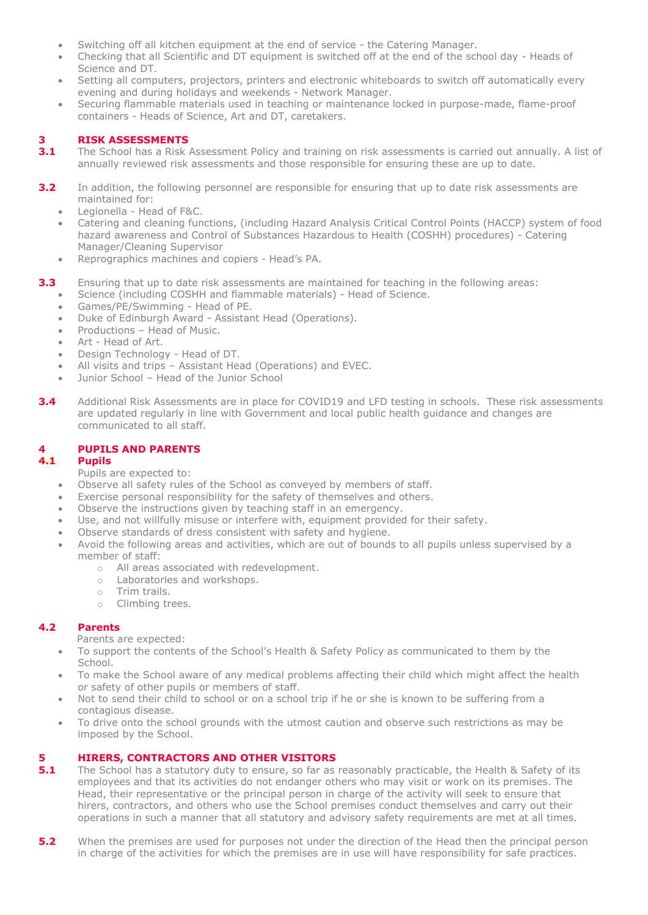- Switching off all kitchen equipment at the end of service the Catering Manager.
- Checking that all Scientific and DT equipment is switched off at the end of the school day Heads of Science and DT.
- Setting all computers, projectors, printers and electronic whiteboards to switch off automatically every evening and during holidays and weekends - Network Manager.
- Securing flammable materials used in teaching or maintenance locked in purpose-made, flame-proof containers - Heads of Science, Art and DT, caretakers.

#### **3 RISK ASSESSMENTS**

- **3.1** The School has a Risk Assessment Policy and training on risk assessments is carried out annually. A list of annually reviewed risk assessments and those responsible for ensuring these are up to date.
- **3.2** In addition, the following personnel are responsible for ensuring that up to date risk assessments are maintained for:
	- Legionella Head of F&C.
	- Catering and cleaning functions, (including Hazard Analysis Critical Control Points (HACCP) system of food hazard awareness and Control of Substances Hazardous to Health (COSHH) procedures) - Catering Manager/Cleaning Supervisor
	- Reprographics machines and copiers Head's PA.
- **3.3** Ensuring that up to date risk assessments are maintained for teaching in the following areas:
	- Science (including COSHH and flammable materials) Head of Science.
	- Games/PE/Swimming Head of PE.
	- Duke of Edinburgh Award Assistant Head (Operations).
	- Productions Head of Music.
	- Art Head of Art.
	- Design Technology Head of DT.
	- All visits and trips Assistant Head (Operations) and EVEC.
	- Junior School Head of the Junior School
- **3.4** Additional Risk Assessments are in place for COVID19 and LFD testing in schools. These risk assessments are updated regularly in line with Government and local public health guidance and changes are communicated to all staff.

#### **4 PUPILS AND PARENTS**

#### **4.1 Pupils**

- Pupils are expected to:
- Observe all safety rules of the School as conveyed by members of staff.
- Exercise personal responsibility for the safety of themselves and others.
- Observe the instructions given by teaching staff in an emergency.
- Use, and not willfully misuse or interfere with, equipment provided for their safety.
- Observe standards of dress consistent with safety and hygiene.
- Avoid the following areas and activities, which are out of bounds to all pupils unless supervised by a member of staff:
	- o All areas associated with redevelopment.
	- o Laboratories and workshops.
	- o Trim trails.
	- o Climbing trees.

#### **4.2 Parents**

Parents are expected:

- To support the contents of the School's Health & Safety Policy as communicated to them by the School.
- To make the School aware of any medical problems affecting their child which might affect the health or safety of other pupils or members of staff.
- Not to send their child to school or on a school trip if he or she is known to be suffering from a contagious disease.
- To drive onto the school grounds with the utmost caution and observe such restrictions as may be imposed by the School.

#### **5 HIRERS, CONTRACTORS AND OTHER VISITORS**

- **5.1** The School has a statutory duty to ensure, so far as reasonably practicable, the Health & Safety of its employees and that its activities do not endanger others who may visit or work on its premises. The Head, their representative or the principal person in charge of the activity will seek to ensure that hirers, contractors, and others who use the School premises conduct themselves and carry out their operations in such a manner that all statutory and advisory safety requirements are met at all times.
- **5.2** When the premises are used for purposes not under the direction of the Head then the principal person in charge of the activities for which the premises are in use will have responsibility for safe practices.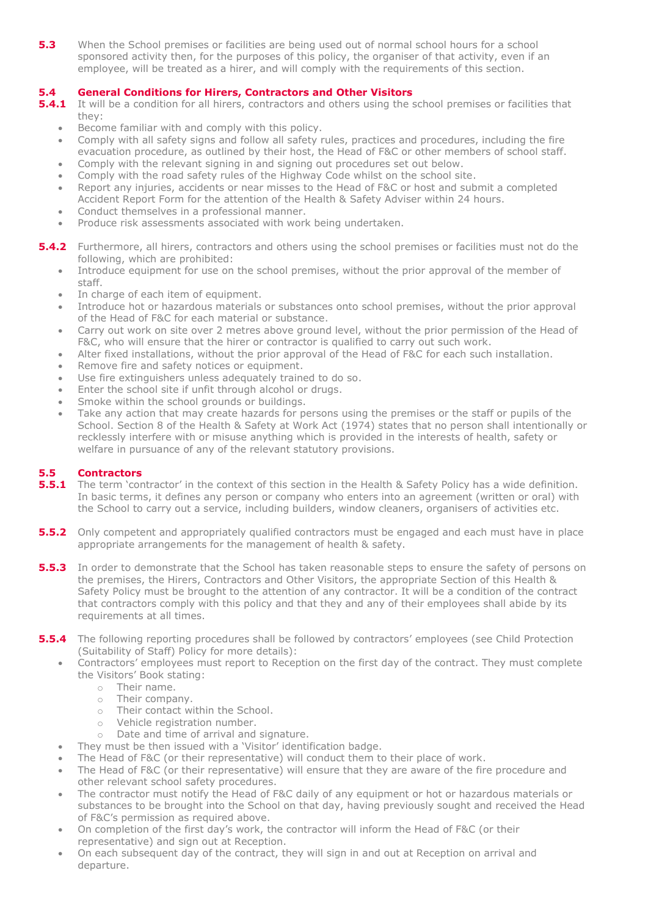**5.3** When the School premises or facilities are being used out of normal school hours for a school sponsored activity then, for the purposes of this policy, the organiser of that activity, even if an employee, will be treated as a hirer, and will comply with the requirements of this section.

#### **5.4 General Conditions for Hirers, Contractors and Other Visitors**

- **5.4.1** It will be a condition for all hirers, contractors and others using the school premises or facilities that they:
	- Become familiar with and comply with this policy.
	- Comply with all safety signs and follow all safety rules, practices and procedures, including the fire evacuation procedure, as outlined by their host, the Head of F&C or other members of school staff.
	- Comply with the relevant signing in and signing out procedures set out below.
	- Comply with the road safety rules of the Highway Code whilst on the school site.
	- Report any injuries, accidents or near misses to the Head of F&C or host and submit a completed Accident Report Form for the attention of the Health & Safety Adviser within 24 hours.
	- Conduct themselves in a professional manner. Produce risk assessments associated with work being undertaken.
- **5.4.2** Furthermore, all hirers, contractors and others using the school premises or facilities must not do the following, which are prohibited:
	- Introduce equipment for use on the school premises, without the prior approval of the member of staff.
	- In charge of each item of equipment.
	- Introduce hot or hazardous materials or substances onto school premises, without the prior approval of the Head of F&C for each material or substance.
	- Carry out work on site over 2 metres above ground level, without the prior permission of the Head of F&C, who will ensure that the hirer or contractor is qualified to carry out such work.
	- Alter fixed installations, without the prior approval of the Head of F&C for each such installation.
	- Remove fire and safety notices or equipment.
	- Use fire extinguishers unless adequately trained to do so.
	- Enter the school site if unfit through alcohol or drugs.
	- Smoke within the school grounds or buildings.
	- Take any action that may create hazards for persons using the premises or the staff or pupils of the School. Section 8 of the Health & Safety at Work Act (1974) states that no person shall intentionally or recklessly interfere with or misuse anything which is provided in the interests of health, safety or welfare in pursuance of any of the relevant statutory provisions.

#### **5.5 Contractors**

- **5.5.1** The term 'contractor' in the context of this section in the Health & Safety Policy has a wide definition. In basic terms, it defines any person or company who enters into an agreement (written or oral) with the School to carry out a service, including builders, window cleaners, organisers of activities etc.
- **5.5.2** Only competent and appropriately qualified contractors must be engaged and each must have in place appropriate arrangements for the management of health & safety.
- **5.5.3** In order to demonstrate that the School has taken reasonable steps to ensure the safety of persons on the premises, the Hirers, Contractors and Other Visitors, the appropriate Section of this Health & Safety Policy must be brought to the attention of any contractor. It will be a condition of the contract that contractors comply with this policy and that they and any of their employees shall abide by its requirements at all times.
- **5.5.4** The following reporting procedures shall be followed by contractors' employees (see Child Protection (Suitability of Staff) Policy for more details):
	- Contractors' employees must report to Reception on the first day of the contract. They must complete the Visitors' Book stating:
		- o Their name.
		- o Their company.
		- o Their contact within the School.
		- o Vehicle registration number.
		- o Date and time of arrival and signature.
	- They must be then issued with a 'Visitor' identification badge.
	- The Head of F&C (or their representative) will conduct them to their place of work.
	- The Head of F&C (or their representative) will ensure that they are aware of the fire procedure and other relevant school safety procedures.
	- The contractor must notify the Head of F&C daily of any equipment or hot or hazardous materials or substances to be brought into the School on that day, having previously sought and received the Head of F&C's permission as required above.
	- On completion of the first day's work, the contractor will inform the Head of F&C (or their representative) and sign out at Reception.
	- On each subsequent day of the contract, they will sign in and out at Reception on arrival and departure.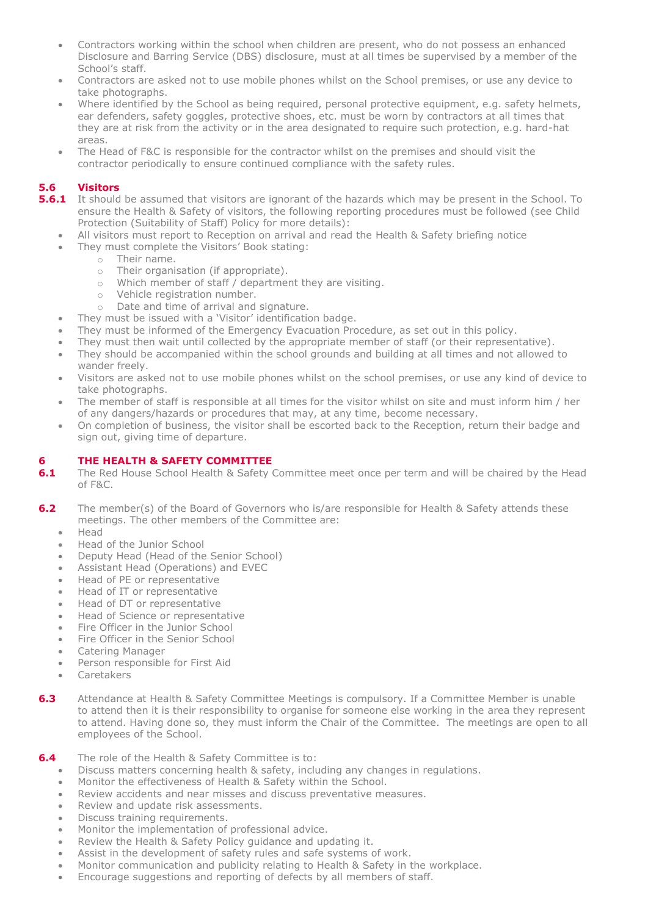- Contractors working within the school when children are present, who do not possess an enhanced Disclosure and Barring Service (DBS) disclosure, must at all times be supervised by a member of the School's staff.
- Contractors are asked not to use mobile phones whilst on the School premises, or use any device to take photographs.
- Where identified by the School as being required, personal protective equipment, e.g. safety helmets, ear defenders, safety goggles, protective shoes, etc. must be worn by contractors at all times that they are at risk from the activity or in the area designated to require such protection, e.g. hard-hat areas.
- The Head of F&C is responsible for the contractor whilst on the premises and should visit the contractor periodically to ensure continued compliance with the safety rules.

#### **5.6 Visitors**

- **5.6.1** It should be assumed that visitors are ignorant of the hazards which may be present in the School. To ensure the Health & Safety of visitors, the following reporting procedures must be followed (see Child Protection (Suitability of Staff) Policy for more details):
	- All visitors must report to Reception on arrival and read the Health & Safety briefing notice
	- They must complete the Visitors' Book stating:
		- o Their name.
			- o Their organisation (if appropriate).
			- o Which member of staff / department they are visiting.
			- o Vehicle registration number.
			- o Date and time of arrival and signature.
	- They must be issued with a 'Visitor' identification badge.
	- They must be informed of the Emergency Evacuation Procedure, as set out in this policy.
	- They must then wait until collected by the appropriate member of staff (or their representative).
	- They should be accompanied within the school grounds and building at all times and not allowed to wander freely.
	- Visitors are asked not to use mobile phones whilst on the school premises, or use any kind of device to take photographs.
	- The member of staff is responsible at all times for the visitor whilst on site and must inform him / her of any dangers/hazards or procedures that may, at any time, become necessary.
	- On completion of business, the visitor shall be escorted back to the Reception, return their badge and sign out, giving time of departure.

#### **6 THE HEALTH & SAFETY COMMITTEE**

- **6.1** The Red House School Health & Safety Committee meet once per term and will be chaired by the Head of F&C.
- **6.2** The member(s) of the Board of Governors who is/are responsible for Health & Safety attends these meetings. The other members of the Committee are:
	- Head
	- Head of the Junior School
	- Deputy Head (Head of the Senior School)
	- Assistant Head (Operations) and EVEC
	- Head of PE or representative
	- Head of IT or representative
	- Head of DT or representative
	- Head of Science or representative
	- Fire Officer in the Junior School
	- Fire Officer in the Senior School
	- Catering Manager
	- Person responsible for First Aid
	- Caretakers
- **6.3** Attendance at Health & Safety Committee Meetings is compulsory. If a Committee Member is unable to attend then it is their responsibility to organise for someone else working in the area they represent to attend. Having done so, they must inform the Chair of the Committee. The meetings are open to all employees of the School.

#### **6.4** The role of the Health & Safety Committee is to:

- Discuss matters concerning health & safety, including any changes in regulations.
- Monitor the effectiveness of Health & Safety within the School.
- Review accidents and near misses and discuss preventative measures.
- Review and update risk assessments.
- Discuss training requirements.
- Monitor the implementation of professional advice.
- Review the Health & Safety Policy guidance and updating it.
- Assist in the development of safety rules and safe systems of work.
- Monitor communication and publicity relating to Health & Safety in the workplace.
- Encourage suggestions and reporting of defects by all members of staff.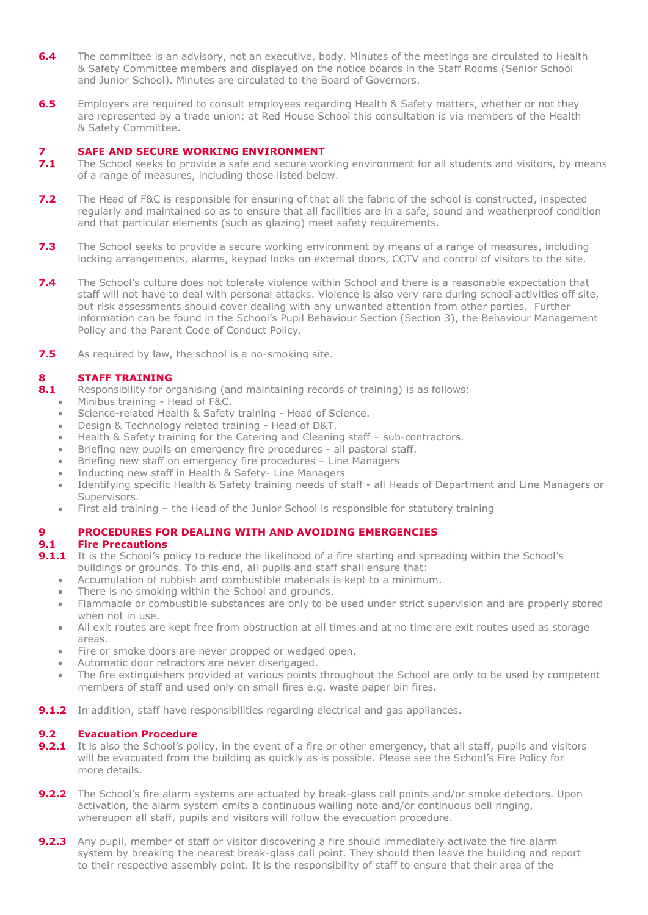- **6.4** The committee is an advisory, not an executive, body. Minutes of the meetings are circulated to Health & Safety Committee members and displayed on the notice boards in the Staff Rooms (Senior School and Junior School). Minutes are circulated to the Board of Governors.
- **6.5** Employers are required to consult employees regarding Health & Safety matters, whether or not they are represented by a trade union; at Red House School this consultation is via members of the Health & Safety Committee.

## **7 SAFE AND SECURE WORKING ENVIRONMENT**<br>**7.1** The School seeks to provide a safe and secure work

- **7.1** The School seeks to provide a safe and secure working environment for all students and visitors, by means of a range of measures, including those listed below.
- **7.2** The Head of F&C is responsible for ensuring of that all the fabric of the school is constructed, inspected regularly and maintained so as to ensure that all facilities are in a safe, sound and weatherproof condition and that particular elements (such as glazing) meet safety requirements.
- **7.3** The School seeks to provide a secure working environment by means of a range of measures, including locking arrangements, alarms, keypad locks on external doors, CCTV and control of visitors to the site.
- **7.4** The School's culture does not tolerate violence within School and there is a reasonable expectation that staff will not have to deal with personal attacks. Violence is also very rare during school activities off site, but risk assessments should cover dealing with any unwanted attention from other parties. Further information can be found in the School's Pupil Behaviour Section (Section 3), the Behaviour Management Policy and the Parent Code of Conduct Policy.
- **7.5** As required by law, the school is a no-smoking site.

#### **8 STAFF TRAINING**

- **8.1** Responsibility for organising (and maintaining records of training) is as follows:
	- Minibus training Head of F&C.
	- Science-related Health & Safety training Head of Science.
	- Design & Technology related training Head of D&T.
	- Health & Safety training for the Catering and Cleaning staff sub-contractors.
	- Briefing new pupils on emergency fire procedures all pastoral staff.
	- Briefing new staff on emergency fire procedures Line Managers
	- Inducting new staff in Health & Safety- Line Managers
	- Identifying specific Health & Safety training needs of staff all Heads of Department and Line Managers or Supervisors.
	- First aid training the Head of the Junior School is responsible for statutory training

#### **9 PROCEDURES FOR DEALING WITH AND AVOIDING EMERGENCIES**

#### **9.1 Fire Precautions**

- **9.1.1** It is the School's policy to reduce the likelihood of a fire starting and spreading within the School's buildings or grounds. To this end, all pupils and staff shall ensure that:
	- Accumulation of rubbish and combustible materials is kept to a minimum.
	- There is no smoking within the School and grounds.
	- Flammable or combustible substances are only to be used under strict supervision and are properly stored when not in use.
	- All exit routes are kept free from obstruction at all times and at no time are exit routes used as storage areas.
	- Fire or smoke doors are never propped or wedged open.
	- Automatic door retractors are never disengaged.
	- The fire extinguishers provided at various points throughout the School are only to be used by competent members of staff and used only on small fires e.g. waste paper bin fires.
- **9.1.2** In addition, staff have responsibilities regarding electrical and gas appliances.

#### **9.2 Evacuation Procedure**

- **9.2.1** It is also the School's policy, in the event of a fire or other emergency, that all staff, pupils and visitors will be evacuated from the building as quickly as is possible. Please see the School's Fire Policy for more details.
- **9.2.2** The School's fire alarm systems are actuated by break-glass call points and/or smoke detectors. Upon activation, the alarm system emits a continuous wailing note and/or continuous bell ringing, whereupon all staff, pupils and visitors will follow the evacuation procedure.
- **9.2.3** Any pupil, member of staff or visitor discovering a fire should immediately activate the fire alarm system by breaking the nearest break-glass call point. They should then leave the building and report to their respective assembly point. It is the responsibility of staff to ensure that their area of the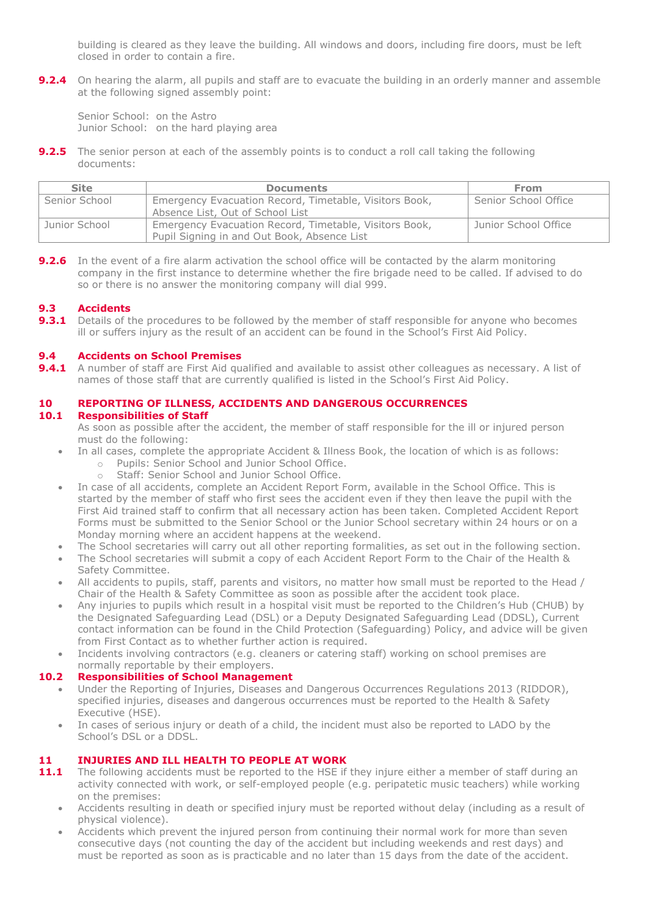building is cleared as they leave the building. All windows and doors, including fire doors, must be left closed in order to contain a fire.

**9.2.4** On hearing the alarm, all pupils and staff are to evacuate the building in an orderly manner and assemble at the following signed assembly point:

Senior School: on the Astro Junior School: on the hard playing area

**9.2.5** The senior person at each of the assembly points is to conduct a roll call taking the following documents:

| <b>Site</b>   | <b>Documents</b>                                                                                      | <b>From</b>          |
|---------------|-------------------------------------------------------------------------------------------------------|----------------------|
| Senior School | Emergency Evacuation Record, Timetable, Visitors Book,<br>Absence List, Out of School List            | Senior School Office |
| Junior School | Emergency Evacuation Record, Timetable, Visitors Book,<br>Pupil Signing in and Out Book, Absence List | Junior School Office |

**9.2.6** In the event of a fire alarm activation the school office will be contacted by the alarm monitoring company in the first instance to determine whether the fire brigade need to be called. If advised to do so or there is no answer the monitoring company will dial 999.

#### **9.3 Accidents**

**9.3.1** Details of the procedures to be followed by the member of staff responsible for anyone who becomes ill or suffers injury as the result of an accident can be found in the School's First Aid Policy.

#### **9.4 Accidents on School Premises**

**9.4.1** A number of staff are First Aid qualified and available to assist other colleagues as necessary. A list of names of those staff that are currently qualified is listed in the School's First Aid Policy.

### **10 REPORTING OF ILLNESS, ACCIDENTS AND DANGEROUS OCCURRENCES**

#### **10.1 Responsibilities of Staff**

As soon as possible after the accident, the member of staff responsible for the ill or injured person must do the following:

- In all cases, complete the appropriate Accident & Illness Book, the location of which is as follows:
	- o Pupils: Senior School and Junior School Office.
	- o Staff: Senior School and Junior School Office.
- In case of all accidents, complete an Accident Report Form, available in the School Office. This is started by the member of staff who first sees the accident even if they then leave the pupil with the First Aid trained staff to confirm that all necessary action has been taken. Completed Accident Report Forms must be submitted to the Senior School or the Junior School secretary within 24 hours or on a Monday morning where an accident happens at the weekend.
- The School secretaries will carry out all other reporting formalities, as set out in the following section.
- The School secretaries will submit a copy of each Accident Report Form to the Chair of the Health & Safety Committee.
- All accidents to pupils, staff, parents and visitors, no matter how small must be reported to the Head / Chair of the Health & Safety Committee as soon as possible after the accident took place.
- Any injuries to pupils which result in a hospital visit must be reported to the Children's Hub (CHUB) by the Designated Safeguarding Lead (DSL) or a Deputy Designated Safeguarding Lead (DDSL), Current contact information can be found in the Child Protection (Safeguarding) Policy, and advice will be given from First Contact as to whether further action is required.
- Incidents involving contractors (e.g. cleaners or catering staff) working on school premises are normally reportable by their employers.

#### **10.2 Responsibilities of School Management**

- Under the Reporting of Injuries, Diseases and Dangerous Occurrences Regulations 2013 (RIDDOR), specified injuries, diseases and dangerous occurrences must be reported to the Health & Safety Executive (HSE).
- In cases of serious injury or death of a child, the incident must also be reported to LADO by the School's DSL or a DDSL.

# **11 INJURIES AND ILL HEALTH TO PEOPLE AT WORK**<br>**11.1** The following accidents must be reported to the HSE if

- **11.1** The following accidents must be reported to the HSE if they injure either a member of staff during an activity connected with work, or self-employed people (e.g. peripatetic music teachers) while working on the premises:
	- Accidents resulting in death or specified injury must be reported without delay (including as a result of physical violence).
	- Accidents which prevent the injured person from continuing their normal work for more than seven consecutive days (not counting the day of the accident but including weekends and rest days) and must be reported as soon as is practicable and no later than 15 days from the date of the accident.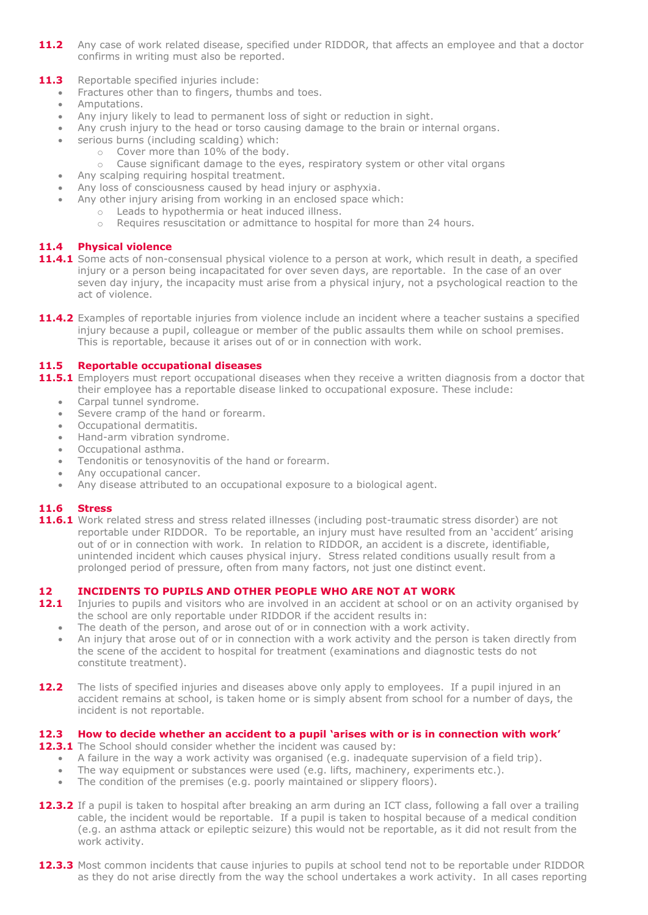- **11.2** Any case of work related disease, specified under RIDDOR, that affects an employee and that a doctor confirms in writing must also be reported.
- 11.3 Reportable specified injuries include:
	- Fractures other than to fingers, thumbs and toes.
	- Amputations.
	- Any injury likely to lead to permanent loss of sight or reduction in sight.
	- Any crush injury to the head or torso causing damage to the brain or internal organs.
	- serious burns (including scalding) which:
		- o Cover more than 10% of the body.
		- o Cause significant damage to the eyes, respiratory system or other vital organs
	- Any scalping requiring hospital treatment.
	- Any loss of consciousness caused by head injury or asphyxia.
	- Any other injury arising from working in an enclosed space which:
		- o Leads to hypothermia or heat induced illness.
		- o Requires resuscitation or admittance to hospital for more than 24 hours.

#### **11.4 Physical violence**

- **11.4.1** Some acts of non-consensual physical violence to a person at work, which result in death, a specified injury or a person being incapacitated for over seven days, are reportable. In the case of an over seven day injury, the incapacity must arise from a physical injury, not a psychological reaction to the act of violence.
- **11.4.2** Examples of reportable injuries from violence include an incident where a teacher sustains a specified injury because a pupil, colleague or member of the public assaults them while on school premises. This is reportable, because it arises out of or in connection with work.

#### **11.5 Reportable occupational diseases**

- **11.5.1** Employers must report occupational diseases when they receive a written diagnosis from a doctor that their employee has a reportable disease linked to occupational exposure. These include:
	- Carpal tunnel syndrome.
	- Severe cramp of the hand or forearm.
	- Occupational dermatitis.
	- Hand-arm vibration syndrome.
	- Occupational asthma.
	- Tendonitis or tenosynovitis of the hand or forearm.
	- Any occupational cancer.
	- Any disease attributed to an occupational exposure to a biological agent.

#### **11.6 Stress**

**11.6.1** Work related stress and stress related illnesses (including post-traumatic stress disorder) are not reportable under RIDDOR. To be reportable, an injury must have resulted from an 'accident' arising out of or in connection with work. In relation to RIDDOR, an accident is a discrete, identifiable, unintended incident which causes physical injury. Stress related conditions usually result from a prolonged period of pressure, often from many factors, not just one distinct event.

#### **12 INCIDENTS TO PUPILS AND OTHER PEOPLE WHO ARE NOT AT WORK**

- 12.1 Injuries to pupils and visitors who are involved in an accident at school or on an activity organised by the school are only reportable under RIDDOR if the accident results in:
	- The death of the person, and arose out of or in connection with a work activity.
	- An injury that arose out of or in connection with a work activity and the person is taken directly from the scene of the accident to hospital for treatment (examinations and diagnostic tests do not constitute treatment).
- **12.2** The lists of specified injuries and diseases above only apply to employees. If a pupil injured in an accident remains at school, is taken home or is simply absent from school for a number of days, the incident is not reportable.

#### **12.3 How to decide whether an accident to a pupil 'arises with or is in connection with work'**

**12.3.1** The School should consider whether the incident was caused by:

- A failure in the way a work activity was organised (e.g. inadequate supervision of a field trip).
- The way equipment or substances were used (e.g. lifts, machinery, experiments etc.).
- The condition of the premises (e.g. poorly maintained or slippery floors).
- **12.3.2** If a pupil is taken to hospital after breaking an arm during an ICT class, following a fall over a trailing cable, the incident would be reportable. If a pupil is taken to hospital because of a medical condition (e.g. an asthma attack or epileptic seizure) this would not be reportable, as it did not result from the work activity.
- **12.3.3** Most common incidents that cause injuries to pupils at school tend not to be reportable under RIDDOR as they do not arise directly from the way the school undertakes a work activity. In all cases reporting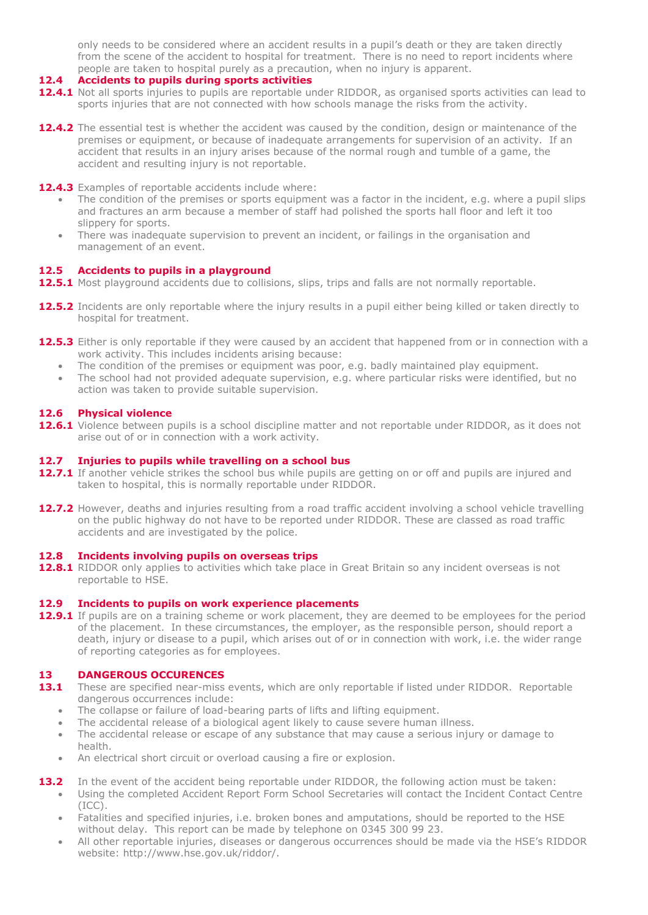only needs to be considered where an accident results in a pupil's death or they are taken directly from the scene of the accident to hospital for treatment. There is no need to report incidents where people are taken to hospital purely as a precaution, when no injury is apparent.

- **12.4 Accidents to pupils during sports activities**
- **12.4.1** Not all sports injuries to pupils are reportable under RIDDOR, as organised sports activities can lead to sports injuries that are not connected with how schools manage the risks from the activity.
- **12.4.2** The essential test is whether the accident was caused by the condition, design or maintenance of the premises or equipment, or because of inadequate arrangements for supervision of an activity. If an accident that results in an injury arises because of the normal rough and tumble of a game, the accident and resulting injury is not reportable.
- **12.4.3** Examples of reportable accidents include where:
	- The condition of the premises or sports equipment was a factor in the incident, e.g. where a pupil slips and fractures an arm because a member of staff had polished the sports hall floor and left it too slippery for sports.
	- There was inadequate supervision to prevent an incident, or failings in the organisation and management of an event.

#### **12.5 Accidents to pupils in a playground**

- 12.5.1 Most playground accidents due to collisions, slips, trips and falls are not normally reportable.
- **12.5.2** Incidents are only reportable where the injury results in a pupil either being killed or taken directly to hospital for treatment.
- **12.5.3** Either is only reportable if they were caused by an accident that happened from or in connection with a work activity. This includes incidents arising because:
	- The condition of the premises or equipment was poor, e.g. badly maintained play equipment.
	- The school had not provided adequate supervision, e.g. where particular risks were identified, but no action was taken to provide suitable supervision.

#### **12.6 Physical violence**

**12.6.1** Violence between pupils is a school discipline matter and not reportable under RIDDOR, as it does not arise out of or in connection with a work activity.

#### **12.7 Injuries to pupils while travelling on a school bus**

- **12.7.1** If another vehicle strikes the school bus while pupils are getting on or off and pupils are injured and taken to hospital, this is normally reportable under RIDDOR.
- **12.7.2** However, deaths and injuries resulting from a road traffic accident involving a school vehicle travelling on the public highway do not have to be reported under RIDDOR. These are classed as road traffic accidents and are investigated by the police.

#### **12.8 Incidents involving pupils on overseas trips**

**12.8.1** RIDDOR only applies to activities which take place in Great Britain so any incident overseas is not reportable to HSE.

#### **12.9 Incidents to pupils on work experience placements**

**12.9.1** If pupils are on a training scheme or work placement, they are deemed to be employees for the period of the placement. In these circumstances, the employer, as the responsible person, should report a death, injury or disease to a pupil, which arises out of or in connection with work, i.e. the wider range of reporting categories as for employees.

#### **13 DANGEROUS OCCURENCES**

- 13.1 These are specified near-miss events, which are only reportable if listed under RIDDOR. Reportable dangerous occurrences include:
	- The collapse or failure of load-bearing parts of lifts and lifting equipment.
	- The accidental release of a biological agent likely to cause severe human illness.
	- The accidental release or escape of any substance that may cause a serious injury or damage to health.
	- An electrical short circuit or overload causing a fire or explosion.
- **13.2** In the event of the accident being reportable under RIDDOR, the following action must be taken: Using the completed Accident Report Form School Secretaries will contact the Incident Contact Centre (ICC).
	- Fatalities and specified injuries, i.e. broken bones and amputations, should be reported to the HSE without delay. This report can be made by telephone on 0345 300 99 23.
	- All other reportable injuries, diseases or dangerous occurrences should be made via the HSE's RIDDOR website: http://www.hse.gov.uk/riddor/.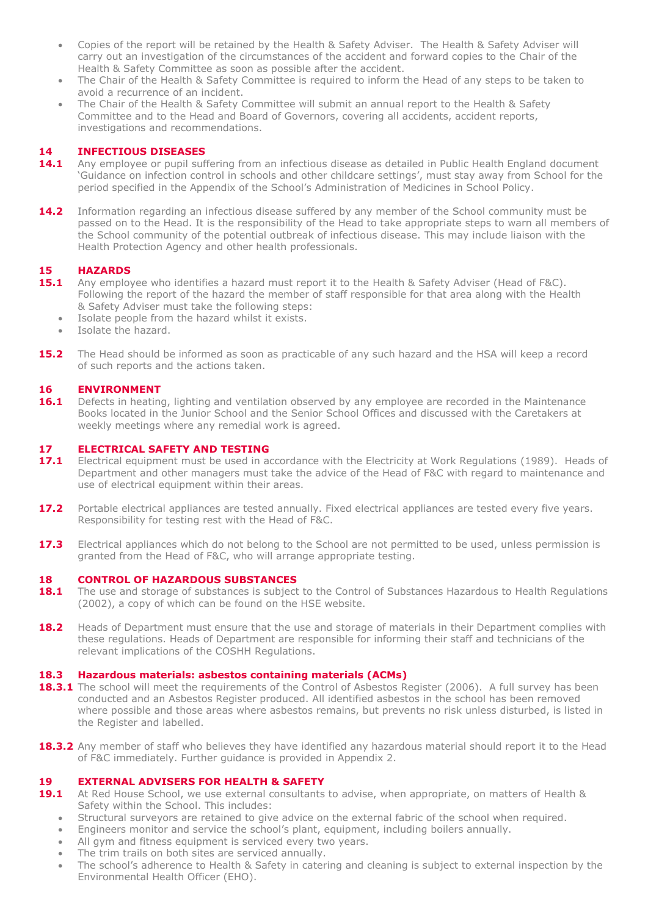- Copies of the report will be retained by the Health & Safety Adviser. The Health & Safety Adviser will carry out an investigation of the circumstances of the accident and forward copies to the Chair of the Health & Safety Committee as soon as possible after the accident.
- The Chair of the Health & Safety Committee is required to inform the Head of any steps to be taken to avoid a recurrence of an incident.
- The Chair of the Health & Safety Committee will submit an annual report to the Health & Safety Committee and to the Head and Board of Governors, covering all accidents, accident reports, investigations and recommendations.

#### **14 INFECTIOUS DISEASES**

- **14.1** Any employee or pupil suffering from an infectious disease as detailed in Public Health England document 'Guidance on infection control in schools and other childcare settings', must stay away from School for the period specified in the Appendix of the School's Administration of Medicines in School Policy.
- **14.2** Information regarding an infectious disease suffered by any member of the School community must be passed on to the Head. It is the responsibility of the Head to take appropriate steps to warn all members of the School community of the potential outbreak of infectious disease. This may include liaison with the Health Protection Agency and other health professionals.

# **15 HAZARDS**

- **15.1** Any employee who identifies a hazard must report it to the Health & Safety Adviser (Head of F&C). Following the report of the hazard the member of staff responsible for that area along with the Health & Safety Adviser must take the following steps:
	- Isolate people from the hazard whilst it exists.
	- Isolate the hazard.
- **15.2** The Head should be informed as soon as practicable of any such hazard and the HSA will keep a record of such reports and the actions taken.

#### **16 ENVIRONMENT**

**16.1** Defects in heating, lighting and ventilation observed by any employee are recorded in the Maintenance Books located in the Junior School and the Senior School Offices and discussed with the Caretakers at weekly meetings where any remedial work is agreed.

#### **17 ELECTRICAL SAFETY AND TESTING**

- **17.1** Electrical equipment must be used in accordance with the Electricity at Work Regulations (1989). Heads of Department and other managers must take the advice of the Head of F&C with regard to maintenance and use of electrical equipment within their areas.
- **17.2** Portable electrical appliances are tested annually. Fixed electrical appliances are tested every five years. Responsibility for testing rest with the Head of F&C.
- **17.3** Electrical appliances which do not belong to the School are not permitted to be used, unless permission is granted from the Head of F&C, who will arrange appropriate testing.

#### **18 CONTROL OF HAZARDOUS SUBSTANCES**

- **18.1** The use and storage of substances is subject to the Control of Substances Hazardous to Health Regulations (2002), a copy of which can be found on the HSE website.
- **18.2** Heads of Department must ensure that the use and storage of materials in their Department complies with these regulations. Heads of Department are responsible for informing their staff and technicians of the relevant implications of the COSHH Regulations.

#### **18.3 Hazardous materials: asbestos containing materials (ACMs)**

- **18.3.1** The school will meet the requirements of the Control of Asbestos Register (2006). A full survey has been conducted and an Asbestos Register produced. All identified asbestos in the school has been removed where possible and those areas where asbestos remains, but prevents no risk unless disturbed, is listed in the Register and labelled.
- **18.3.2** Any member of staff who believes they have identified any hazardous material should report it to the Head of F&C immediately. Further guidance is provided in Appendix 2.

#### **19 EXTERNAL ADVISERS FOR HEALTH & SAFETY**

- **19.1** At Red House School, we use external consultants to advise, when appropriate, on matters of Health & Safety within the School. This includes:
	- Structural surveyors are retained to give advice on the external fabric of the school when required.
	- Engineers monitor and service the school's plant, equipment, including boilers annually.
	- All gym and fitness equipment is serviced every two years.
	- The trim trails on both sites are serviced annually.
	- The school's adherence to Health & Safety in catering and cleaning is subject to external inspection by the Environmental Health Officer (EHO).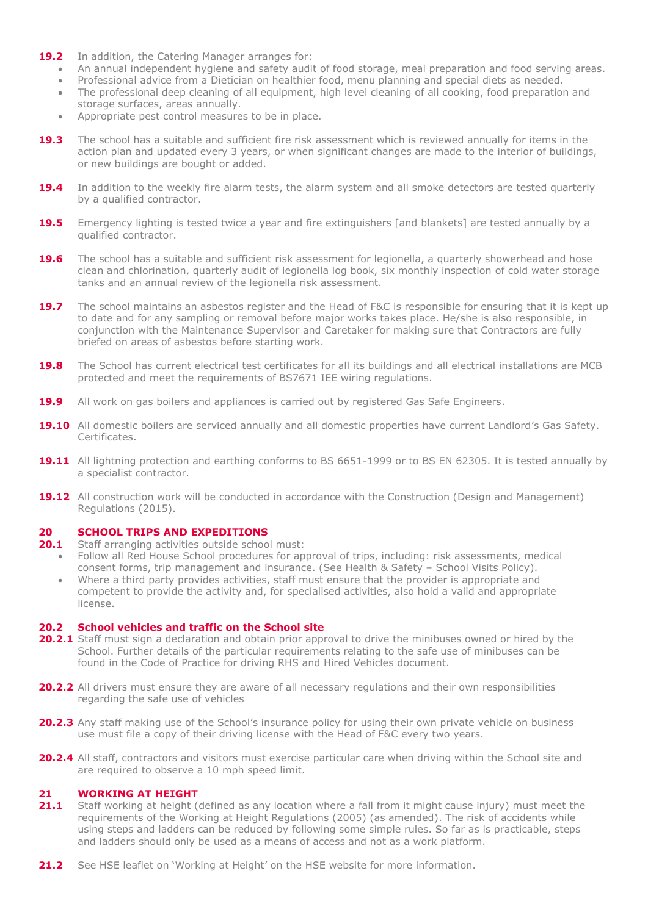- **19.2** In addition, the Catering Manager arranges for:
	- An annual independent hygiene and safety audit of food storage, meal preparation and food serving areas.
	- Professional advice from a Dietician on healthier food, menu planning and special diets as needed.
	- The professional deep cleaning of all equipment, high level cleaning of all cooking, food preparation and storage surfaces, areas annually.
	- Appropriate pest control measures to be in place.
- **19.3** The school has a suitable and sufficient fire risk assessment which is reviewed annually for items in the action plan and updated every 3 years, or when significant changes are made to the interior of buildings, or new buildings are bought or added.
- **19.4** In addition to the weekly fire alarm tests, the alarm system and all smoke detectors are tested quarterly by a qualified contractor.
- **19.5** Emergency lighting is tested twice a year and fire extinguishers [and blankets] are tested annually by a qualified contractor.
- **19.6** The school has a suitable and sufficient risk assessment for legionella, a quarterly showerhead and hose clean and chlorination, quarterly audit of legionella log book, six monthly inspection of cold water storage tanks and an annual review of the legionella risk assessment.
- **19.7** The school maintains an asbestos register and the Head of F&C is responsible for ensuring that it is kept up to date and for any sampling or removal before major works takes place. He/she is also responsible, in conjunction with the Maintenance Supervisor and Caretaker for making sure that Contractors are fully briefed on areas of asbestos before starting work.
- **19.8** The School has current electrical test certificates for all its buildings and all electrical installations are MCB protected and meet the requirements of BS7671 IEE wiring regulations.
- **19.9** All work on gas boilers and appliances is carried out by registered Gas Safe Engineers.
- **19.10** All domestic boilers are serviced annually and all domestic properties have current Landlord's Gas Safety. Certificates.
- **19.11** All lightning protection and earthing conforms to BS 6651-1999 or to BS EN 62305. It is tested annually by a specialist contractor.
- **19.12** All construction work will be conducted in accordance with the Construction (Design and Management) Regulations (2015).

#### **20 SCHOOL TRIPS AND EXPEDITIONS**

- **20.1** Staff arranging activities outside school must:
	- Follow all Red House School procedures for approval of trips, including: risk assessments, medical consent forms, trip management and insurance. (See Health & Safety – School Visits Policy).
	- Where a third party provides activities, staff must ensure that the provider is appropriate and competent to provide the activity and, for specialised activities, also hold a valid and appropriate license.

#### **20.2 School vehicles and traffic on the School site**

- **20.2.1** Staff must sign a declaration and obtain prior approval to drive the minibuses owned or hired by the School. Further details of the particular requirements relating to the safe use of minibuses can be found in the Code of Practice for driving RHS and Hired Vehicles document.
- **20.2.2** All drivers must ensure they are aware of all necessary regulations and their own responsibilities regarding the safe use of vehicles
- **20.2.3** Any staff making use of the School's insurance policy for using their own private vehicle on business use must file a copy of their driving license with the Head of F&C every two years.
- **20.2.4** All staff, contractors and visitors must exercise particular care when driving within the School site and are required to observe a 10 mph speed limit.

#### **21 WORKING AT HEIGHT**

- **21.1** Staff working at height (defined as any location where a fall from it might cause injury) must meet the requirements of the Working at Height Regulations (2005) (as amended). The risk of accidents while using steps and ladders can be reduced by following some simple rules. So far as is practicable, steps and ladders should only be used as a means of access and not as a work platform.
- **21.2** See HSE leaflet on 'Working at Height' on the HSE website for more information.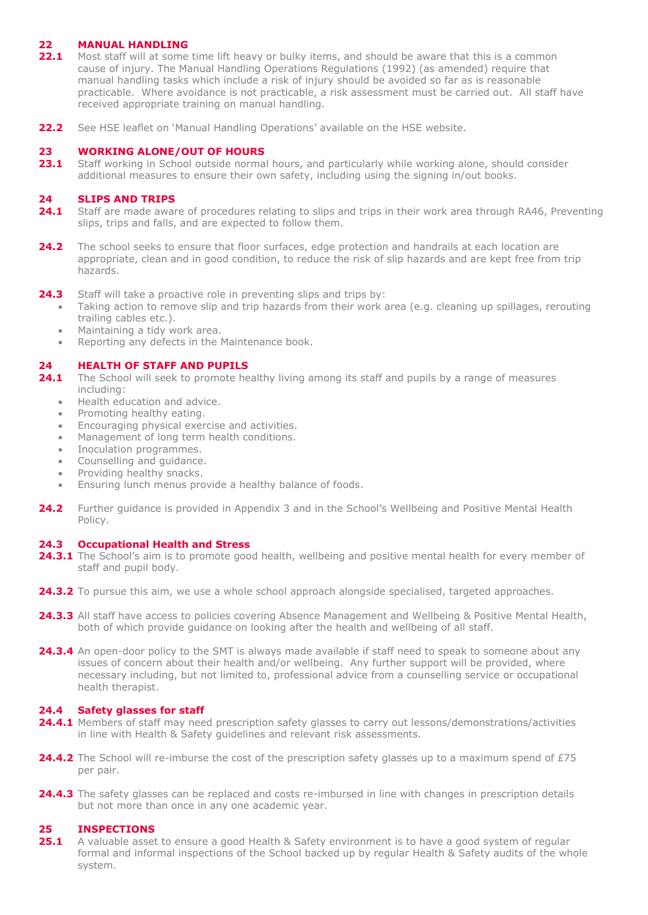#### **22 MANUAL HANDLING**

- **22.1** Most staff will at some time lift heavy or bulky items, and should be aware that this is a common cause of injury. The Manual Handling Operations Regulations (1992) (as amended) require that manual handling tasks which include a risk of injury should be avoided so far as is reasonable practicable. Where avoidance is not practicable, a risk assessment must be carried out. All staff have received appropriate training on manual handling.
- **22.2** See HSE leaflet on 'Manual Handling Operations' available on the HSE website.

#### **23 WORKING ALONE/OUT OF HOURS**

23.1 Staff working in School outside normal hours, and particularly while working alone, should consider additional measures to ensure their own safety, including using the signing in/out books.

#### **24 SLIPS AND TRIPS**

- 24.1 Staff are made aware of procedures relating to slips and trips in their work area through RA46, Preventing slips, trips and falls, and are expected to follow them.
- **24.2** The school seeks to ensure that floor surfaces, edge protection and handrails at each location are appropriate, clean and in good condition, to reduce the risk of slip hazards and are kept free from trip hazards.
- **24.3** Staff will take a proactive role in preventing slips and trips by:
	- Taking action to remove slip and trip hazards from their work area (e.g. cleaning up spillages, rerouting trailing cables etc.).
	- Maintaining a tidy work area.
	- Reporting any defects in the Maintenance book.

#### **24 HEALTH OF STAFF AND PUPILS**

- **24.1** The School will seek to promote healthy living among its staff and pupils by a range of measures including:
	- Health education and advice.
	- Promoting healthy eating.
	- Encouraging physical exercise and activities.
	- Management of long term health conditions.
	- Inoculation programmes.
	- Counselling and guidance.
	- Providing healthy snacks.
	- Ensuring lunch menus provide a healthy balance of foods.
- **24.2** Further guidance is provided in Appendix 3 and in the School's Wellbeing and Positive Mental Health Policy.

#### **24.3 Occupational Health and Stress**

- 24.3.1 The School's aim is to promote good health, wellbeing and positive mental health for every member of staff and pupil body.
- **24.3.2** To pursue this aim, we use a whole school approach alongside specialised, targeted approaches.
- **24.3.3** All staff have access to policies covering Absence Management and Wellbeing & Positive Mental Health, both of which provide guidance on looking after the health and wellbeing of all staff.
- **24.3.4** An open-door policy to the SMT is always made available if staff need to speak to someone about any issues of concern about their health and/or wellbeing. Any further support will be provided, where necessary including, but not limited to, professional advice from a counselling service or occupational health therapist.

#### **24.4 Safety glasses for staff**

- **24.4.1** Members of staff may need prescription safety glasses to carry out lessons/demonstrations/activities in line with Health & Safety guidelines and relevant risk assessments.
- **24.4.2** The School will re-imburse the cost of the prescription safety glasses up to a maximum spend of £75 per pair.
- **24.4.3** The safety glasses can be replaced and costs re-imbursed in line with changes in prescription details but not more than once in any one academic year.

#### **25 INSPECTIONS**

**25.1** A valuable asset to ensure a good Health & Safety environment is to have a good system of regular formal and informal inspections of the School backed up by regular Health & Safety audits of the whole system.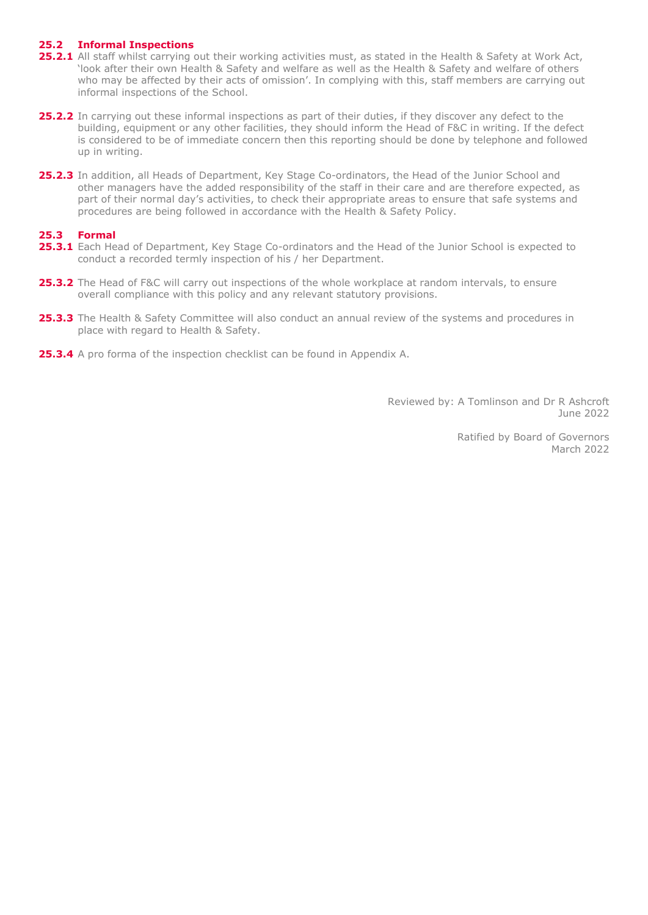#### **25.2 Informal Inspections**

- **25.2.1** All staff whilst carrying out their working activities must, as stated in the Health & Safety at Work Act, 'look after their own Health & Safety and welfare as well as the Health & Safety and welfare of others who may be affected by their acts of omission'. In complying with this, staff members are carrying out informal inspections of the School.
- **25.2.2** In carrying out these informal inspections as part of their duties, if they discover any defect to the building, equipment or any other facilities, they should inform the Head of F&C in writing. If the defect is considered to be of immediate concern then this reporting should be done by telephone and followed up in writing.
- 25.2.3 In addition, all Heads of Department, Key Stage Co-ordinators, the Head of the Junior School and other managers have the added responsibility of the staff in their care and are therefore expected, as part of their normal day's activities, to check their appropriate areas to ensure that safe systems and procedures are being followed in accordance with the Health & Safety Policy.

#### **25.3 Formal**

- **25.3.1** Each Head of Department, Key Stage Co-ordinators and the Head of the Junior School is expected to conduct a recorded termly inspection of his / her Department.
- **25.3.2** The Head of F&C will carry out inspections of the whole workplace at random intervals, to ensure overall compliance with this policy and any relevant statutory provisions.
- **25.3.3** The Health & Safety Committee will also conduct an annual review of the systems and procedures in place with regard to Health & Safety.
- **25.3.4** A pro forma of the inspection checklist can be found in Appendix A.

Reviewed by: A Tomlinson and Dr R Ashcroft June 2022

> Ratified by Board of Governors March 2022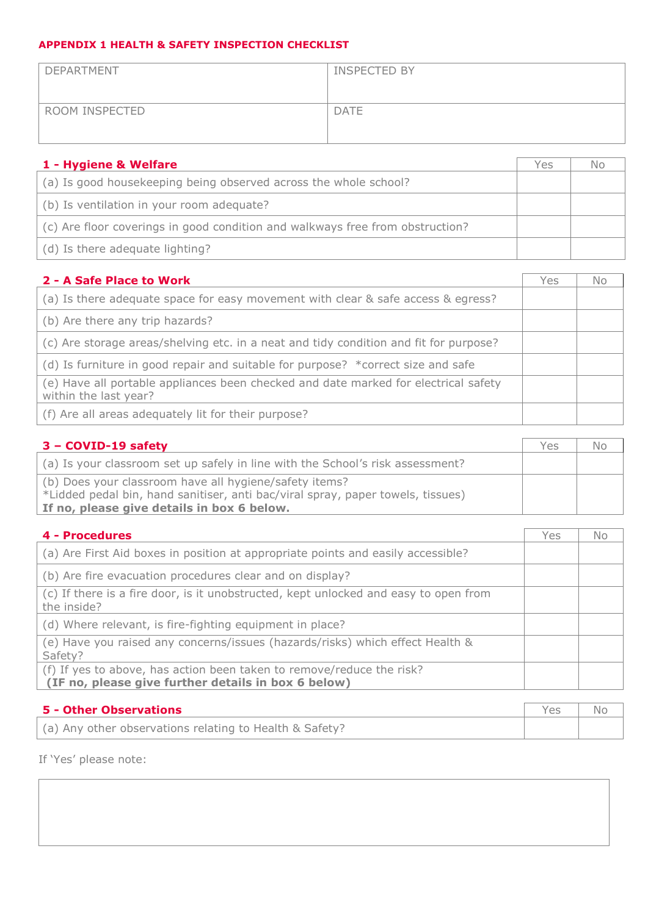### **APPENDIX 1 HEALTH & SAFETY INSPECTION CHECKLIST**

| DEPARTMENT     | <b>INSPECTED BY</b> |
|----------------|---------------------|
| ROOM INSPECTED | <b>DATE</b>         |

| 1 - Hygiene & Welfare                                                         | Yes | No |
|-------------------------------------------------------------------------------|-----|----|
| (a) Is good housekeeping being observed across the whole school?              |     |    |
| (b) Is ventilation in your room adequate?                                     |     |    |
| (c) Are floor coverings in good condition and walkways free from obstruction? |     |    |
| (d) Is there adequate lighting?                                               |     |    |

| 2 - A Safe Place to Work                                                                                     | Yes | No |
|--------------------------------------------------------------------------------------------------------------|-----|----|
| (a) Is there adequate space for easy movement with clear & safe access & egress?                             |     |    |
| (b) Are there any trip hazards?                                                                              |     |    |
| (c) Are storage areas/shelving etc. in a neat and tidy condition and fit for purpose?                        |     |    |
| (d) Is furniture in good repair and suitable for purpose? *correct size and safe                             |     |    |
| (e) Have all portable appliances been checked and date marked for electrical safety<br>within the last year? |     |    |
| (f) Are all areas adequately lit for their purpose?                                                          |     |    |

| $3 - \text{COVID-19 safety}$                                                                                                              | Yes | No. |
|-------------------------------------------------------------------------------------------------------------------------------------------|-----|-----|
| (a) Is your classroom set up safely in line with the School's risk assessment?                                                            |     |     |
| (b) Does your classroom have all hygiene/safety items?<br>*Lidded pedal bin, hand sanitiser, anti bac/viral spray, paper towels, tissues) |     |     |
| If no, please give details in box 6 below.                                                                                                |     |     |

| 4 - Procedures                                                                                                               | Yes | No |
|------------------------------------------------------------------------------------------------------------------------------|-----|----|
| (a) Are First Aid boxes in position at appropriate points and easily accessible?                                             |     |    |
| (b) Are fire evacuation procedures clear and on display?                                                                     |     |    |
| (c) If there is a fire door, is it unobstructed, kept unlocked and easy to open from<br>the inside?                          |     |    |
| (d) Where relevant, is fire-fighting equipment in place?                                                                     |     |    |
| (e) Have you raised any concerns/issues (hazards/risks) which effect Health &<br>Safety?                                     |     |    |
| (f) If yes to above, has action been taken to remove/reduce the risk?<br>(IF no, please give further details in box 6 below) |     |    |

| 5 - Other Observations                                  | YAS |  |
|---------------------------------------------------------|-----|--|
| (a) Any other observations relating to Health & Safety? |     |  |

If 'Yes' please note: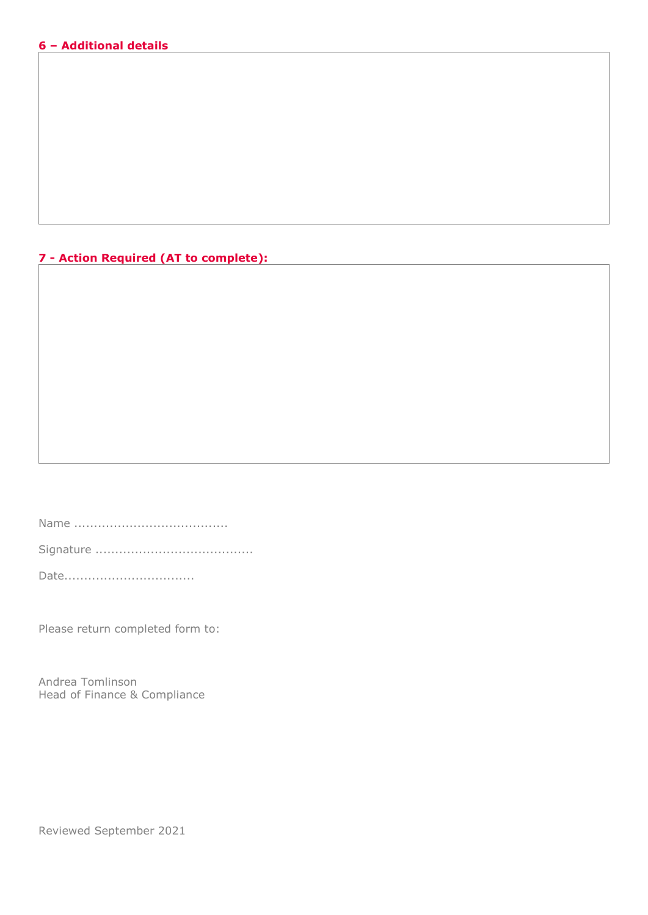#### **6 – Additional details**

### **7 - Action Required (AT to complete):**

Name .......................................

Signature ........................................

Date...................................

Please return completed form to:

Andrea Tomlinson Head of Finance & Compliance

Reviewed September 2021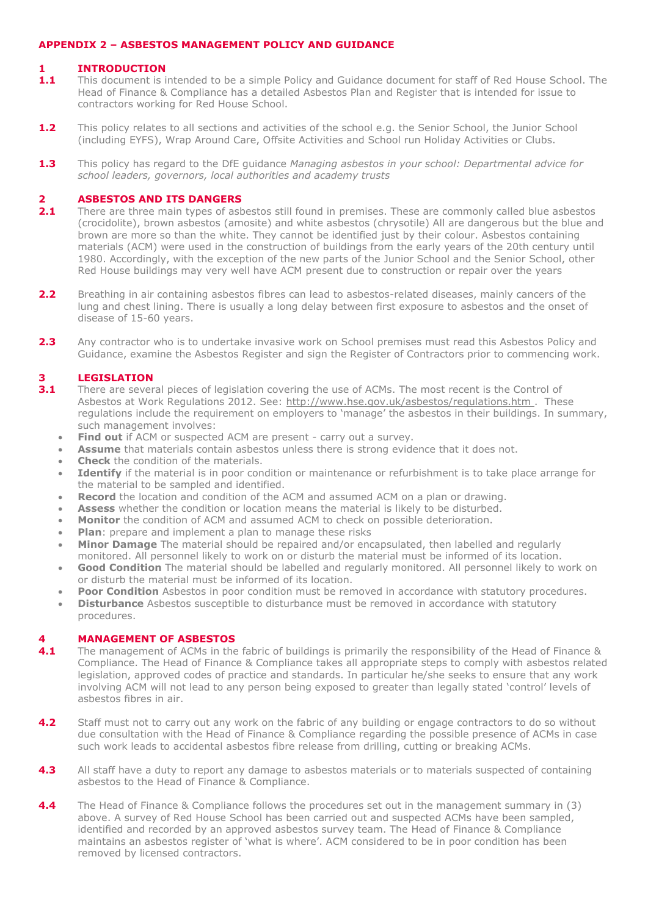#### **APPENDIX 2 – ASBESTOS MANAGEMENT POLICY AND GUIDANCE**

#### **1 INTRODUCTION**

- **1.1** This document is intended to be a simple Policy and Guidance document for staff of Red House School. The Head of Finance & Compliance has a detailed Asbestos Plan and Register that is intended for issue to contractors working for Red House School.
- **1.2** This policy relates to all sections and activities of the school e.g. the Senior School, the Junior School (including EYFS), Wrap Around Care, Offsite Activities and School run Holiday Activities or Clubs.
- **1.3** This policy has regard to the DfE guidance *Managing asbestos in your school: Departmental advice for school leaders, governors, local authorities and academy trusts*

#### **2 ASBESTOS AND ITS DANGERS**

- **2.1** There are three main types of asbestos still found in premises. These are commonly called blue asbestos (crocidolite), brown asbestos (amosite) and white asbestos (chrysotile) All are dangerous but the blue and brown are more so than the white. They cannot be identified just by their colour. Asbestos containing materials (ACM) were used in the construction of buildings from the early years of the 20th century until 1980. Accordingly, with the exception of the new parts of the Junior School and the Senior School, other Red House buildings may very well have ACM present due to construction or repair over the years
- **2.2** Breathing in air containing asbestos fibres can lead to asbestos-related diseases, mainly cancers of the lung and chest lining. There is usually a long delay between first exposure to asbestos and the onset of disease of 15-60 years.
- 2.3 Any contractor who is to undertake invasive work on School premises must read this Asbestos Policy and Guidance, examine the Asbestos Register and sign the Register of Contractors prior to commencing work.

# **3.1 LEGISLATION**<br>**3.1** There are sever

- **3.1** There are several pieces of legislation covering the use of ACMs. The most recent is the Control of Asbestos at Work Regulations 2012. See: http://www.hse.gov.uk/asbestos/regulations.htm. These regulations include the requirement on employers to 'manage' the asbestos in their buildings. In summary, such management involves:
	- **Find out** if ACM or suspected ACM are present carry out a survey.
	- **Assume** that materials contain asbestos unless there is strong evidence that it does not.
	- **Check** the condition of the materials.
	- **Identify** if the material is in poor condition or maintenance or refurbishment is to take place arrange for the material to be sampled and identified.
	- **Record** the location and condition of the ACM and assumed ACM on a plan or drawing.
	- **Assess** whether the condition or location means the material is likely to be disturbed.
	- **Monitor** the condition of ACM and assumed ACM to check on possible deterioration.
	- **Plan**: prepare and implement a plan to manage these risks
	- **Minor Damage** The material should be repaired and/or encapsulated, then labelled and regularly
	- monitored. All personnel likely to work on or disturb the material must be informed of its location.
	- **Good Condition** The material should be labelled and regularly monitored. All personnel likely to work on or disturb the material must be informed of its location.
	- **Poor Condition** Asbestos in poor condition must be removed in accordance with statutory procedures.
	- **Disturbance** Asbestos susceptible to disturbance must be removed in accordance with statutory procedures.

## **4 <b>MANAGEMENT OF ASBESTOS**<br>**4.1** The management of ACMs in the

- **4.1** The management of ACMs in the fabric of buildings is primarily the responsibility of the Head of Finance & Compliance. The Head of Finance & Compliance takes all appropriate steps to comply with asbestos related legislation, approved codes of practice and standards. In particular he/she seeks to ensure that any work involving ACM will not lead to any person being exposed to greater than legally stated 'control' levels of asbestos fibres in air.
- **4.2** Staff must not to carry out any work on the fabric of any building or engage contractors to do so without due consultation with the Head of Finance & Compliance regarding the possible presence of ACMs in case such work leads to accidental asbestos fibre release from drilling, cutting or breaking ACMs.
- **4.3** All staff have a duty to report any damage to asbestos materials or to materials suspected of containing asbestos to the Head of Finance & Compliance.
- **4.4** The Head of Finance & Compliance follows the procedures set out in the management summary in (3) above. A survey of Red House School has been carried out and suspected ACMs have been sampled, identified and recorded by an approved asbestos survey team. The Head of Finance & Compliance maintains an asbestos register of 'what is where'. ACM considered to be in poor condition has been removed by licensed contractors.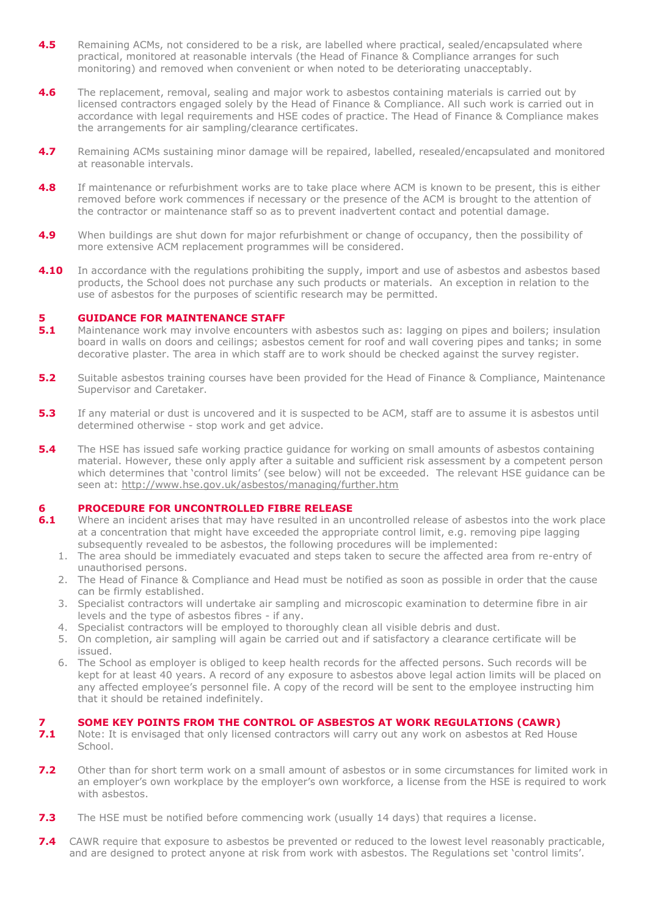- **4.5** Remaining ACMs, not considered to be a risk, are labelled where practical, sealed/encapsulated where practical, monitored at reasonable intervals (the Head of Finance & Compliance arranges for such monitoring) and removed when convenient or when noted to be deteriorating unacceptably.
- **4.6** The replacement, removal, sealing and major work to asbestos containing materials is carried out by licensed contractors engaged solely by the Head of Finance & Compliance. All such work is carried out in accordance with legal requirements and HSE codes of practice. The Head of Finance & Compliance makes the arrangements for air sampling/clearance certificates.
- **4.7** Remaining ACMs sustaining minor damage will be repaired, labelled, resealed/encapsulated and monitored at reasonable intervals.
- **4.8** If maintenance or refurbishment works are to take place where ACM is known to be present, this is either removed before work commences if necessary or the presence of the ACM is brought to the attention of the contractor or maintenance staff so as to prevent inadvertent contact and potential damage.
- **4.9** When buildings are shut down for major refurbishment or change of occupancy, then the possibility of more extensive ACM replacement programmes will be considered.
- **4.10** In accordance with the regulations prohibiting the supply, import and use of asbestos and asbestos based products, the School does not purchase any such products or materials. An exception in relation to the use of asbestos for the purposes of scientific research may be permitted.

#### **5 GUIDANCE FOR MAINTENANCE STAFF**

- **5.1** Maintenance work may involve encounters with asbestos such as: lagging on pipes and boilers; insulation board in walls on doors and ceilings; asbestos cement for roof and wall covering pipes and tanks; in some decorative plaster. The area in which staff are to work should be checked against the survey register.
- **5.2** Suitable asbestos training courses have been provided for the Head of Finance & Compliance, Maintenance Supervisor and Caretaker.
- **5.3** If any material or dust is uncovered and it is suspected to be ACM, staff are to assume it is asbestos until determined otherwise - stop work and get advice.
- **5.4** The HSE has issued safe working practice guidance for working on small amounts of asbestos containing material. However, these only apply after a suitable and sufficient risk assessment by a competent person which determines that 'control limits' (see below) will not be exceeded. The relevant HSE quidance can be seen at: <http://www.hse.gov.uk/asbestos/managing/further.htm>

#### **6 PROCEDURE FOR UNCONTROLLED FIBRE RELEASE**

- **6.1** Where an incident arises that may have resulted in an uncontrolled release of asbestos into the work place at a concentration that might have exceeded the appropriate control limit, e.g. removing pipe lagging subsequently revealed to be asbestos, the following procedures will be implemented:
	- 1. The area should be immediately evacuated and steps taken to secure the affected area from re-entry of unauthorised persons.
	- 2. The Head of Finance & Compliance and Head must be notified as soon as possible in order that the cause can be firmly established.
	- 3. Specialist contractors will undertake air sampling and microscopic examination to determine fibre in air levels and the type of asbestos fibres - if any.
	- 4. Specialist contractors will be employed to thoroughly clean all visible debris and dust.
	- 5. On completion, air sampling will again be carried out and if satisfactory a clearance certificate will be issued.
	- 6. The School as employer is obliged to keep health records for the affected persons. Such records will be kept for at least 40 years. A record of any exposure to asbestos above legal action limits will be placed on any affected employee's personnel file. A copy of the record will be sent to the employee instructing him that it should be retained indefinitely.

#### **7 SOME KEY POINTS FROM THE CONTROL OF ASBESTOS AT WORK REGULATIONS (CAWR)**

- **7.1** Note: It is envisaged that only licensed contractors will carry out any work on asbestos at Red House School.
- **7.2** Other than for short term work on a small amount of asbestos or in some circumstances for limited work in an employer's own workplace by the employer's own workforce, a license from the HSE is required to work with asbestos.
- **7.3** The HSE must be notified before commencing work (usually 14 days) that requires a license.
- **7.4** CAWR require that exposure to asbestos be prevented or reduced to the lowest level reasonably practicable, and are designed to protect anyone at risk from work with asbestos. The Regulations set 'control limits'.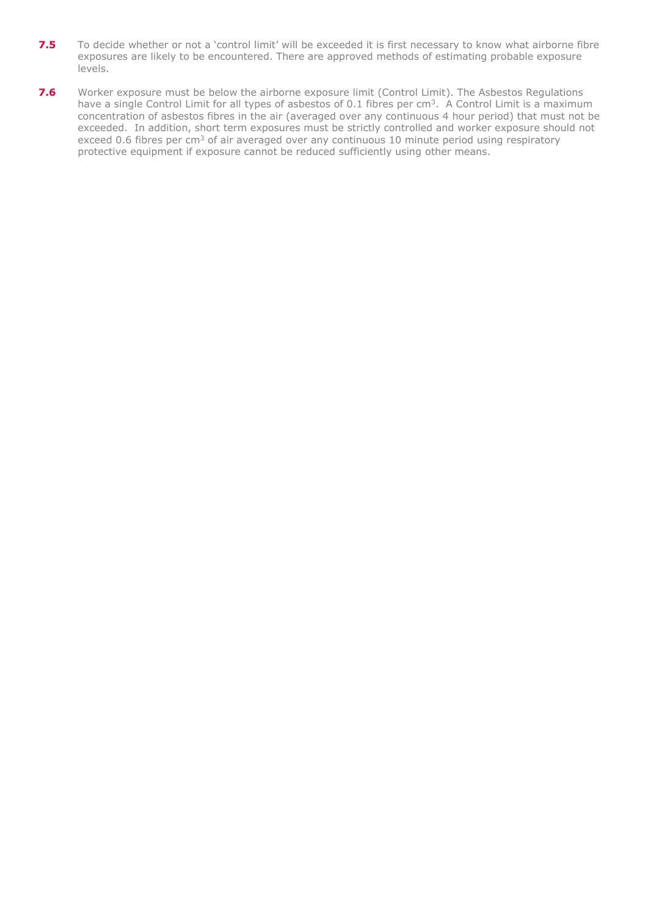- 7.5 To decide whether or not a 'control limit' will be exceeded it is first necessary to know what airborne fibre exposures are likely to be encountered. There are approved methods of estimating probable exposure levels.
- **7.6** Worker exposure must be below the airborne exposure limit (Control Limit). The Asbestos Regulations have a single Control Limit for all types of asbestos of 0.1 fibres per  $cm<sup>3</sup>$ . A Control Limit is a maximum concentration of asbestos fibres in the air (averaged over any continuous 4 hour period) that must not be exceeded. In addition, short term exposures must be strictly controlled and worker exposure should not exceed 0.6 fibres per cm<sup>3</sup> of air averaged over any continuous 10 minute period using respiratory protective equipment if exposure cannot be reduced sufficiently using other means.